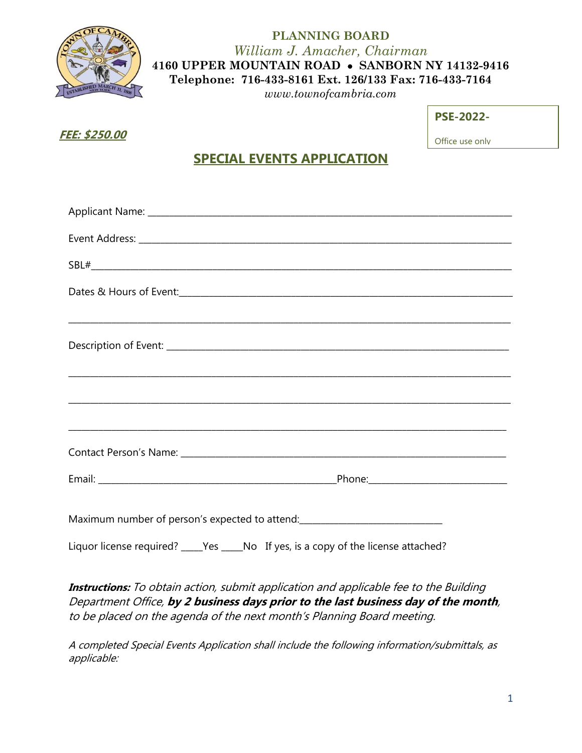

### **PLANNING BOARD** *William J. Amacher, Chairman* **4160 UPPER MOUNTAIN ROAD SANBORN NY 14132-9416 Telephone: 716-433-8161 Ext. 126/133 Fax: 716-433-7164**

*www.townofcambria.com*

# Office use only **FEE: \$250.00**

**PSE-2022-**

## **SPECIAL EVENTS APPLICATION**

| ,我们也不能在这里的时候,我们也不能在这里的时候,我们也不能不能不能不能不能不能不能不能不能不能不能不能不能。""我们的是我们的,我们也不能不能不能不能不能不能   |  |  |  |
|------------------------------------------------------------------------------------|--|--|--|
|                                                                                    |  |  |  |
| ,我们也不能在这里的时候,我们也不能在这里的时候,我们也不能在这里的时候,我们也不能会在这里的时候,我们也不能会在这里的时候,我们也不能会在这里的时候,我们也不能  |  |  |  |
|                                                                                    |  |  |  |
|                                                                                    |  |  |  |
|                                                                                    |  |  |  |
| Liquor license required? ____Yes ____No If yes, is a copy of the license attached? |  |  |  |

**Instructions:** To obtain action, submit application and applicable fee to the Building Department Office, **by 2 business days prior to the last business day of the month**, to be placed on the agenda of the next month's Planning Board meeting.

A completed Special Events Application shall include the following information/submittals, as applicable: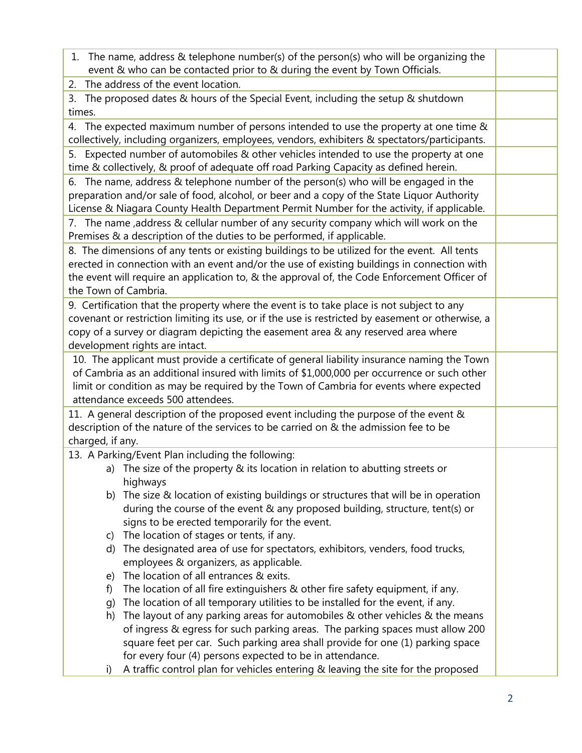| 1. The name, address & telephone number(s) of the person(s) who will be organizing the                                                                                                |  |  |  |  |
|---------------------------------------------------------------------------------------------------------------------------------------------------------------------------------------|--|--|--|--|
| event & who can be contacted prior to & during the event by Town Officials.                                                                                                           |  |  |  |  |
| 2. The address of the event location.                                                                                                                                                 |  |  |  |  |
| 3. The proposed dates & hours of the Special Event, including the setup & shutdown                                                                                                    |  |  |  |  |
| times.                                                                                                                                                                                |  |  |  |  |
| 4. The expected maximum number of persons intended to use the property at one time &<br>collectively, including organizers, employees, vendors, exhibiters & spectators/participants. |  |  |  |  |
| 5. Expected number of automobiles & other vehicles intended to use the property at one<br>time & collectively, & proof of adequate off road Parking Capacity as defined herein.       |  |  |  |  |
| 6. The name, address & telephone number of the person(s) who will be engaged in the                                                                                                   |  |  |  |  |
| preparation and/or sale of food, alcohol, or beer and a copy of the State Liquor Authority                                                                                            |  |  |  |  |
| License & Niagara County Health Department Permit Number for the activity, if applicable.                                                                                             |  |  |  |  |
| 7. The name , address & cellular number of any security company which will work on the<br>Premises & a description of the duties to be performed, if applicable.                      |  |  |  |  |
| 8. The dimensions of any tents or existing buildings to be utilized for the event. All tents                                                                                          |  |  |  |  |
| erected in connection with an event and/or the use of existing buildings in connection with                                                                                           |  |  |  |  |
| the event will require an application to, & the approval of, the Code Enforcement Officer of                                                                                          |  |  |  |  |
| the Town of Cambria.                                                                                                                                                                  |  |  |  |  |
| 9. Certification that the property where the event is to take place is not subject to any                                                                                             |  |  |  |  |
| covenant or restriction limiting its use, or if the use is restricted by easement or otherwise, a                                                                                     |  |  |  |  |
| copy of a survey or diagram depicting the easement area & any reserved area where                                                                                                     |  |  |  |  |
| development rights are intact.                                                                                                                                                        |  |  |  |  |
| 10. The applicant must provide a certificate of general liability insurance naming the Town                                                                                           |  |  |  |  |
| of Cambria as an additional insured with limits of \$1,000,000 per occurrence or such other                                                                                           |  |  |  |  |
| limit or condition as may be required by the Town of Cambria for events where expected                                                                                                |  |  |  |  |
| attendance exceeds 500 attendees.                                                                                                                                                     |  |  |  |  |
| 11. A general description of the proposed event including the purpose of the event &                                                                                                  |  |  |  |  |
| description of the nature of the services to be carried on & the admission fee to be                                                                                                  |  |  |  |  |
| charged, if any.                                                                                                                                                                      |  |  |  |  |
| 13. A Parking/Event Plan including the following:                                                                                                                                     |  |  |  |  |
| a) The size of the property & its location in relation to abutting streets or                                                                                                         |  |  |  |  |
| highways                                                                                                                                                                              |  |  |  |  |
| b) The size & location of existing buildings or structures that will be in operation                                                                                                  |  |  |  |  |
| during the course of the event & any proposed building, structure, tent(s) or                                                                                                         |  |  |  |  |
| signs to be erected temporarily for the event.                                                                                                                                        |  |  |  |  |
| The location of stages or tents, if any.<br>C)                                                                                                                                        |  |  |  |  |
| The designated area of use for spectators, exhibitors, venders, food trucks,<br>d)<br>employees & organizers, as applicable.                                                          |  |  |  |  |
| The location of all entrances & exits.                                                                                                                                                |  |  |  |  |
| e)<br>The location of all fire extinguishers & other fire safety equipment, if any.<br>f)                                                                                             |  |  |  |  |
| The location of all temporary utilities to be installed for the event, if any.<br>q)                                                                                                  |  |  |  |  |
| The layout of any parking areas for automobiles & other vehicles & the means<br>h)                                                                                                    |  |  |  |  |
| of ingress & egress for such parking areas. The parking spaces must allow 200                                                                                                         |  |  |  |  |
| square feet per car. Such parking area shall provide for one (1) parking space                                                                                                        |  |  |  |  |
| for every four (4) persons expected to be in attendance.                                                                                                                              |  |  |  |  |
| A traffic control plan for vehicles entering & leaving the site for the proposed<br>i)                                                                                                |  |  |  |  |
|                                                                                                                                                                                       |  |  |  |  |